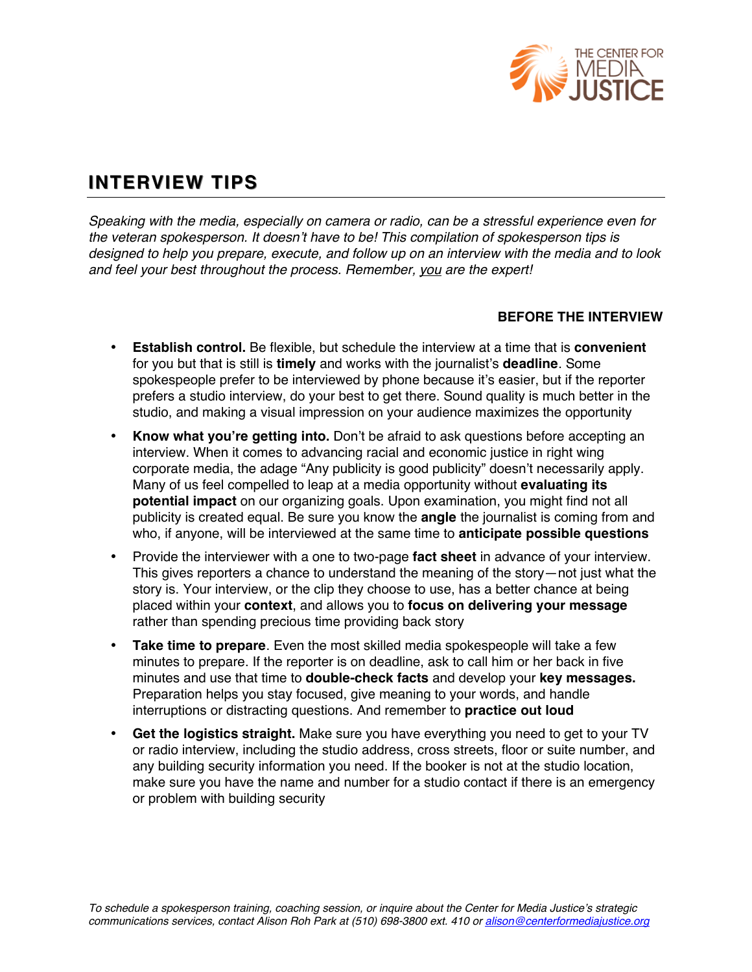

# **INTERVIEW TIPS**

*Speaking with the media, especially on camera or radio, can be a stressful experience even for the veteran spokesperson. It doesn*'*t have to be! This compilation of spokesperson tips is designed to help you prepare, execute, and follow up on an interview with the media and to look and feel your best throughout the process. Remember, you are the expert!*

### **BEFORE THE INTERVIEW**

- **Establish control.** Be flexible, but schedule the interview at a time that is **convenient**  for you but that is still is **timely** and works with the journalist's **deadline**. Some spokespeople prefer to be interviewed by phone because it's easier, but if the reporter prefers a studio interview, do your best to get there. Sound quality is much better in the studio, and making a visual impression on your audience maximizes the opportunity
- **Know what you're getting into.** Don't be afraid to ask questions before accepting an interview. When it comes to advancing racial and economic justice in right wing corporate media, the adage "Any publicity is good publicity" doesn't necessarily apply. Many of us feel compelled to leap at a media opportunity without **evaluating its potential impact** on our organizing goals. Upon examination, you might find not all publicity is created equal. Be sure you know the **angle** the journalist is coming from and who, if anyone, will be interviewed at the same time to **anticipate possible questions**
- Provide the interviewer with a one to two-page **fact sheet** in advance of your interview. This gives reporters a chance to understand the meaning of the story—not just what the story is. Your interview, or the clip they choose to use, has a better chance at being placed within your **context**, and allows you to **focus on delivering your message**  rather than spending precious time providing back story
- **Take time to prepare**. Even the most skilled media spokespeople will take a few minutes to prepare. If the reporter is on deadline, ask to call him or her back in five minutes and use that time to **double-check facts** and develop your **key messages.**  Preparation helps you stay focused, give meaning to your words, and handle interruptions or distracting questions. And remember to **practice out loud**
- **Get the logistics straight.** Make sure you have everything you need to get to your TV or radio interview, including the studio address, cross streets, floor or suite number, and any building security information you need. If the booker is not at the studio location, make sure you have the name and number for a studio contact if there is an emergency or problem with building security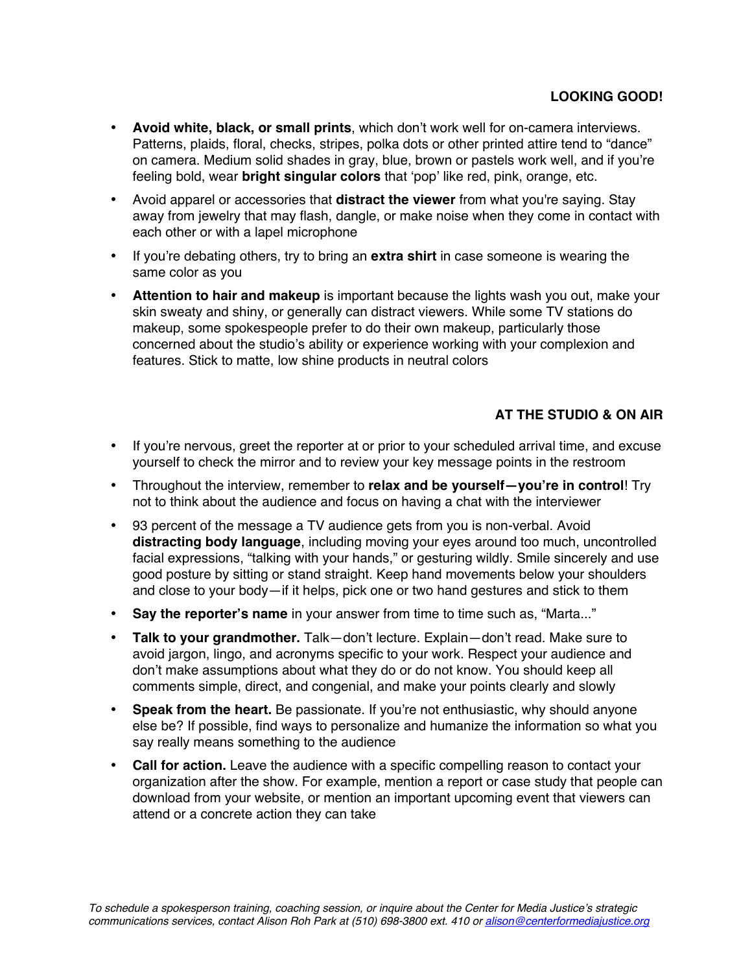- **Avoid white, black, or small prints**, which don't work well for on-camera interviews. Patterns, plaids, floral, checks, stripes, polka dots or other printed attire tend to "dance" on camera. Medium solid shades in gray, blue, brown or pastels work well, and if you're feeling bold, wear **bright singular colors** that ʻpop' like red, pink, orange, etc.
- Avoid apparel or accessories that **distract the viewer** from what you're saying. Stay away from jewelry that may flash, dangle, or make noise when they come in contact with each other or with a lapel microphone
- If you're debating others, try to bring an **extra shirt** in case someone is wearing the same color as you
- **Attention to hair and makeup** is important because the lights wash you out, make your skin sweaty and shiny, or generally can distract viewers. While some TV stations do makeup, some spokespeople prefer to do their own makeup, particularly those concerned about the studio's ability or experience working with your complexion and features. Stick to matte, low shine products in neutral colors

## **AT THE STUDIO & ON AIR**

- If you're nervous, greet the reporter at or prior to your scheduled arrival time, and excuse yourself to check the mirror and to review your key message points in the restroom
- Throughout the interview, remember to **relax and be yourself—you're in control**! Try not to think about the audience and focus on having a chat with the interviewer
- 93 percent of the message a TV audience gets from you is non-verbal. Avoid **distracting body language**, including moving your eyes around too much, uncontrolled facial expressions, "talking with your hands," or gesturing wildly. Smile sincerely and use good posture by sitting or stand straight. Keep hand movements below your shoulders and close to your body—if it helps, pick one or two hand gestures and stick to them
- **Say the reporter's name** in your answer from time to time such as, "Marta..."
- **Talk to your grandmother.** Talk—don't lecture. Explain—don't read. Make sure to avoid jargon, lingo, and acronyms specific to your work. Respect your audience and don't make assumptions about what they do or do not know. You should keep all comments simple, direct, and congenial, and make your points clearly and slowly
- **Speak from the heart.** Be passionate. If you're not enthusiastic, why should anyone else be? If possible, find ways to personalize and humanize the information so what you say really means something to the audience
- **Call for action.** Leave the audience with a specific compelling reason to contact your organization after the show. For example, mention a report or case study that people can download from your website, or mention an important upcoming event that viewers can attend or a concrete action they can take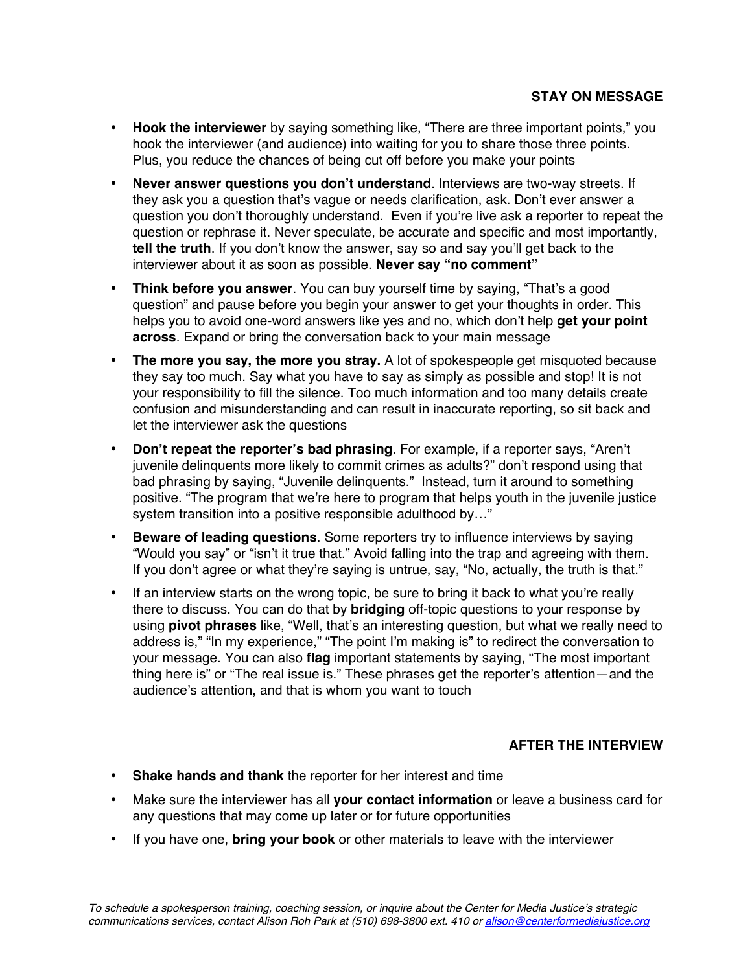- **Hook the interviewer** by saying something like, "There are three important points," you hook the interviewer (and audience) into waiting for you to share those three points. Plus, you reduce the chances of being cut off before you make your points
- **Never answer questions you don't understand**. Interviews are two-way streets. If they ask you a question that's vague or needs clarification, ask. Don't ever answer a question you don't thoroughly understand. Even if you're live ask a reporter to repeat the question or rephrase it. Never speculate, be accurate and specific and most importantly, **tell the truth**. If you don't know the answer, say so and say you'll get back to the interviewer about it as soon as possible. **Never say "no comment"**
- **Think before you answer**. You can buy yourself time by saying, "That's a good question" and pause before you begin your answer to get your thoughts in order. This helps you to avoid one-word answers like yes and no, which don't help **get your point across**. Expand or bring the conversation back to your main message
- **The more you say, the more you stray.** A lot of spokespeople get misquoted because they say too much. Say what you have to say as simply as possible and stop! It is not your responsibility to fill the silence. Too much information and too many details create confusion and misunderstanding and can result in inaccurate reporting, so sit back and let the interviewer ask the questions
- **Don't repeat the reporter's bad phrasing**. For example, if a reporter says, "Aren't juvenile delinquents more likely to commit crimes as adults?" don't respond using that bad phrasing by saying, "Juvenile delinquents." Instead, turn it around to something positive. "The program that we're here to program that helps youth in the juvenile justice system transition into a positive responsible adulthood by…"
- **Beware of leading questions**. Some reporters try to influence interviews by saying "Would you say" or "isn't it true that." Avoid falling into the trap and agreeing with them. If you don't agree or what they're saying is untrue, say, "No, actually, the truth is that."
- If an interview starts on the wrong topic, be sure to bring it back to what you're really there to discuss. You can do that by **bridging** off-topic questions to your response by using **pivot phrases** like, "Well, that's an interesting question, but what we really need to address is," "In my experience," "The point I'm making is" to redirect the conversation to your message. You can also **flag** important statements by saying, "The most important thing here is" or "The real issue is." These phrases get the reporter's attention—and the audience's attention, and that is whom you want to touch

### **AFTER THE INTERVIEW**

- **Shake hands and thank** the reporter for her interest and time
- Make sure the interviewer has all **your contact information** or leave a business card for any questions that may come up later or for future opportunities
- If you have one, **bring your book** or other materials to leave with the interviewer